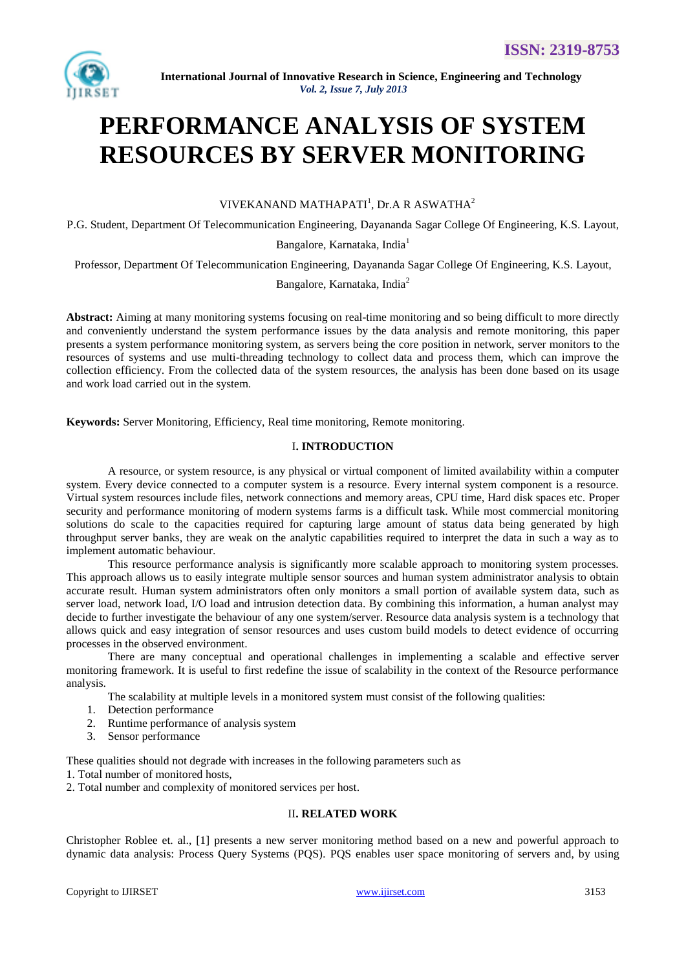

# **PERFORMANCE ANALYSIS OF SYSTEM RESOURCES BY SERVER MONITORING**

VIVEKANAND MATHAPATI<sup>1</sup>, Dr.A R ASWATHA<sup>2</sup>

P.G. Student, Department Of Telecommunication Engineering, Dayananda Sagar College Of Engineering, K.S. Layout,

Bangalore, Karnataka, India<sup>1</sup>

Professor, Department Of Telecommunication Engineering, Dayananda Sagar College Of Engineering, K.S. Layout,

Bangalore, Karnataka, India<sup>2</sup>

**Abstract:** Aiming at many monitoring systems focusing on real-time monitoring and so being difficult to more directly and conveniently understand the system performance issues by the data analysis and remote monitoring, this paper presents a system performance monitoring system, as servers being the core position in network, server monitors to the resources of systems and use multi-threading technology to collect data and process them, which can improve the collection efficiency. From the collected data of the system resources, the analysis has been done based on its usage and work load carried out in the system.

**Keywords:** Server Monitoring, Efficiency, Real time monitoring, Remote monitoring.

# I**. INTRODUCTION**

A resource, or system resource, is any physical or virtual component of limited availability within a computer system. Every device connected to a computer system is a resource. Every internal system component is a resource. Virtual system resources include [files,](http://en.wikipedia.org/wiki/Computer_file) network connections and memory areas, CPU time, Hard disk spaces etc. Proper security and performance monitoring of modern systems farms is a difficult task. While most commercial monitoring solutions do scale to the capacities required for capturing large amount of status data being generated by high throughput server banks, they are weak on the analytic capabilities required to interpret the data in such a way as to implement automatic behaviour.

This resource performance analysis is significantly more scalable approach to monitoring system processes. This approach allows us to easily integrate multiple sensor sources and human system administrator analysis to obtain accurate result. Human system administrators often only monitors a small portion of available system data, such as server load, network load, I/O load and intrusion detection data. By combining this information, a human analyst may decide to further investigate the behaviour of any one system/server. Resource data analysis system is a technology that allows quick and easy integration of sensor resources and uses custom build models to detect evidence of occurring processes in the observed environment.

There are many conceptual and operational challenges in implementing a scalable and effective server monitoring framework. It is useful to first redefine the issue of scalability in the context of the Resource performance analysis.

The scalability at multiple levels in a monitored system must consist of the following qualities:

- 1. Detection performance
- 2. Runtime performance of analysis system
- 3. Sensor performance

These qualities should not degrade with increases in the following parameters such as

- 1. Total number of monitored hosts,
- 2. Total number and complexity of monitored services per host.

## II**. RELATED WORK**

Christopher Roblee et. al., [1] presents a new server monitoring method based on a new and powerful approach to dynamic data analysis: Process Query Systems (PQS)*.* PQS enables user space monitoring of servers and, by using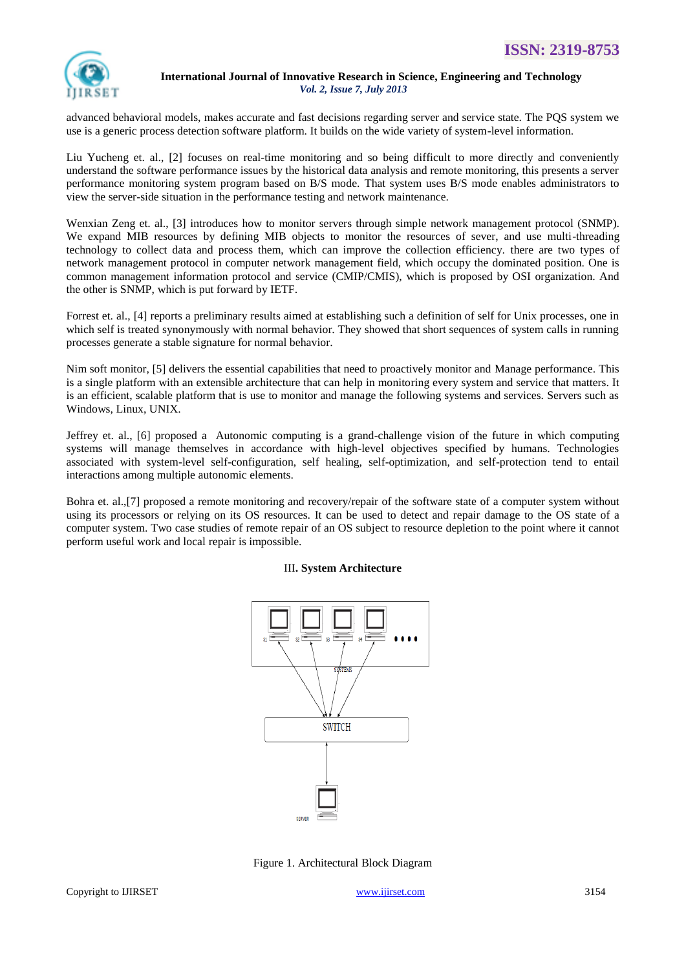

advanced behavioral models, makes accurate and fast decisions regarding server and service state. The PQS system we use is a generic process detection software platform. It builds on the wide variety of system-level information.

Liu Yucheng et. al., [2] focuses on real-time monitoring and so being difficult to more directly and conveniently understand the software performance issues by the historical data analysis and remote monitoring, this presents a server performance monitoring system program based on B/S mode. That system uses B/S mode enables administrators to view the server-side situation in the performance testing and network maintenance.

Wenxian Zeng et. al., [3] introduces how to monitor servers through simple network management protocol (SNMP). We expand MIB resources by defining MIB objects to monitor the resources of sever, and use multi-threading technology to collect data and process them, which can improve the collection efficiency. there are two types of network management protocol in computer network management field, which occupy the dominated position. One is common management information protocol and service (CMIP/CMIS), which is proposed by OSI organization. And the other is SNMP, which is put forward by IETF.

Forrest et. al., [4] reports a preliminary results aimed at establishing such a definition of self for Unix processes, one in which self is treated synonymously with normal behavior. They showed that short sequences of system calls in running processes generate a stable signature for normal behavior.

Nim soft monitor, [5] delivers the essential capabilities that need to proactively monitor and Manage performance. This is a single platform with an extensible architecture that can help in monitoring every system and service that matters. It is an efficient, scalable platform that is use to monitor and manage the following systems and services. Servers such as Windows, Linux, UNIX.

Jeffrey et. al., [6] proposed a Autonomic computing is a grand-challenge vision of the future in which computing systems will manage themselves in accordance with high-level objectives specified by humans. Technologies associated with system-level self-configuration, self healing, self-optimization, and self-protection tend to entail interactions among multiple autonomic elements.

Bohra et. al.,[7] proposed a remote monitoring and recovery/repair of the software state of a computer system without using its processors or relying on its OS resources. It can be used to detect and repair damage to the OS state of a computer system. Two case studies of remote repair of an OS subject to resource depletion to the point where it cannot perform useful work and local repair is impossible.

# III**. System Architecture**



Figure 1. Architectural Block Diagram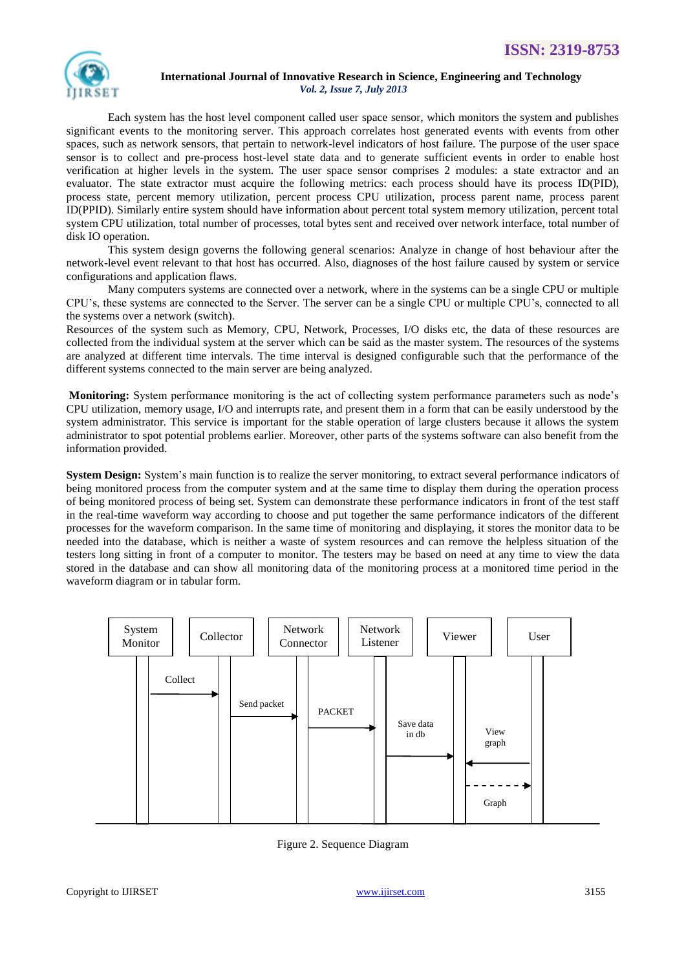

Each system has the host level component called user space sensor, which monitors the system and publishes significant events to the monitoring server. This approach correlates host generated events with events from other spaces, such as network sensors, that pertain to network-level indicators of host failure. The purpose of the user space sensor is to collect and pre-process host-level state data and to generate sufficient events in order to enable host verification at higher levels in the system. The user space sensor comprises 2 modules: a state extractor and an evaluator. The state extractor must acquire the following metrics: each process should have its process ID(PID), process state, percent memory utilization, percent process CPU utilization, process parent name, process parent ID(PPID). Similarly entire system should have information about percent total system memory utilization, percent total system CPU utilization, total number of processes, total bytes sent and received over network interface, total number of disk IO operation.

This system design governs the following general scenarios: Analyze in change of host behaviour after the network-level event relevant to that host has occurred. Also, diagnoses of the host failure caused by system or service configurations and application flaws.

Many computers systems are connected over a network, where in the systems can be a single CPU or multiple CPU's, these systems are connected to the Server. The server can be a single CPU or multiple CPU's, connected to all the systems over a network (switch).

Resources of the system such as Memory, CPU, Network, Processes, I/O disks etc, the data of these resources are collected from the individual system at the server which can be said as the master system. The resources of the systems are analyzed at different time intervals. The time interval is designed configurable such that the performance of the different systems connected to the main server are being analyzed.

**Monitoring:** System performance monitoring is the act of collecting system performance parameters such as node's CPU utilization, memory usage, I/O and interrupts rate, and present them in a form that can be easily understood by the system administrator. This service is important for the stable operation of large clusters because it allows the system administrator to spot potential problems earlier. Moreover, other parts of the systems software can also benefit from the information provided.

**System Design:** System's main function is to realize the server monitoring, to extract several performance indicators of being monitored process from the computer system and at the same time to display them during the operation process of being monitored process of being set. System can demonstrate these performance indicators in front of the test staff in the real-time waveform way according to choose and put together the same performance indicators of the different processes for the waveform comparison. In the same time of monitoring and displaying, it stores the monitor data to be needed into the database, which is neither a waste of system resources and can remove the helpless situation of the testers long sitting in front of a computer to monitor. The testers may be based on need at any time to view the data stored in the database and can show all monitoring data of the monitoring process at a monitored time period in the waveform diagram or in tabular form.



Figure 2. Sequence Diagram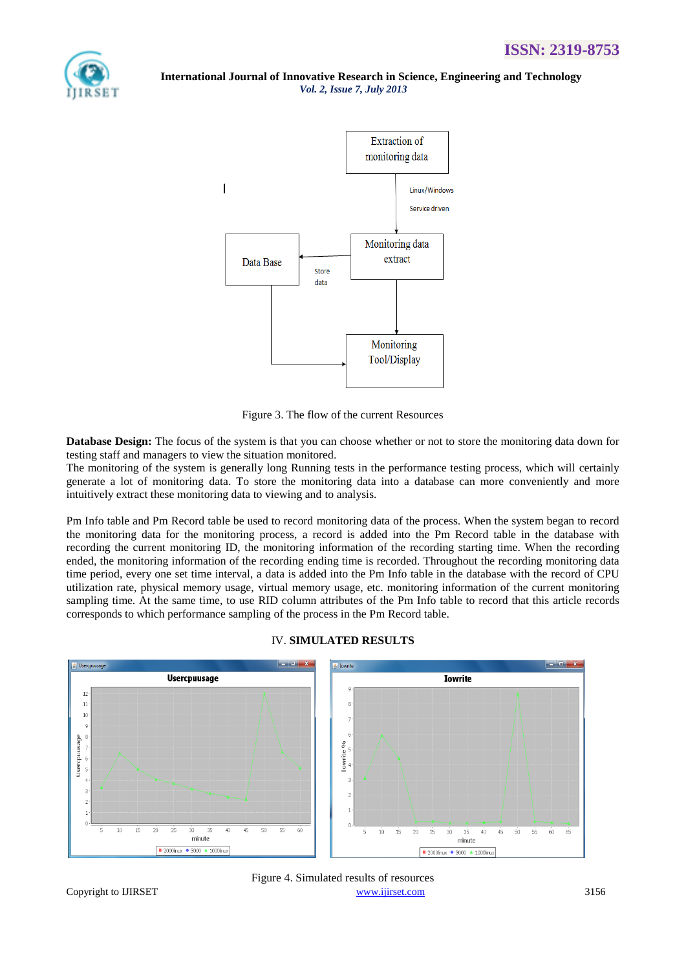



Figure 3. The flow of the current Resources

**Database Design:** The focus of the system is that you can choose whether or not to store the monitoring data down for testing staff and managers to view the situation monitored.

The monitoring of the system is generally long Running tests in the performance testing process, which will certainly generate a lot of monitoring data. To store the monitoring data into a database can more conveniently and more intuitively extract these monitoring data to viewing and to analysis.

Pm Info table and Pm Record table be used to record monitoring data of the process. When the system began to record the monitoring data for the monitoring process, a record is added into the Pm Record table in the database with recording the current monitoring ID, the monitoring information of the recording starting time. When the recording ended, the monitoring information of the recording ending time is recorded. Throughout the recording monitoring data time period, every one set time interval, a data is added into the Pm Info table in the database with the record of CPU utilization rate, physical memory usage, virtual memory usage, etc. monitoring information of the current monitoring sampling time. At the same time, to use RID column attributes of the Pm Info table to record that this article records corresponds to which performance sampling of the process in the Pm Record table.



### IV. **SIMULATED RESULTS**